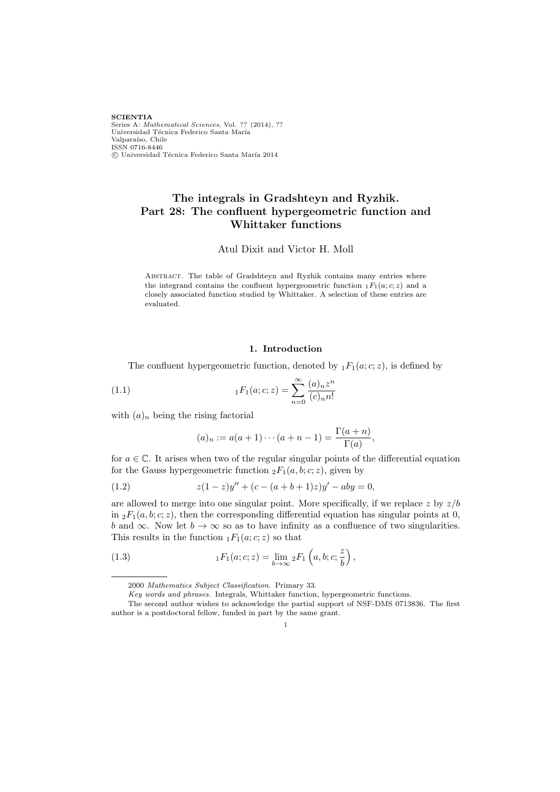**SCIENTIA** Series A: Mathematical Sciences, Vol. ?? (2014), ?? Universidad Técnica Federico Santa María Valparaíso, Chile ISSN 0716-8446  $C$  Universidad Técnica Federico Santa María 2014

## The integrals in Gradshteyn and Ryzhik. Part 28: The confluent hypergeometric function and Whittaker functions

Atul Dixit and Victor H. Moll

ABSTRACT. The table of Gradshteyn and Ryzhik contains many entries where the integrand contains the confluent hypergeometric function  $_1F_1(a; c; z)$  and a closely associated function studied by Whittaker. A selection of these entries are evaluated.

## 1. Introduction

The confluent hypergeometric function, denoted by  $_1F_1(a; c; z)$ , is defined by

(1.1) 
$$
{}_{1}F_{1}(a;c;z) = \sum_{n=0}^{\infty} \frac{(a)_{n}z^{n}}{(c)_{n}n!}
$$

with  $(a)_n$  being the rising factorial

$$
(a)_n := a(a+1)\cdots(a+n-1) = \frac{\Gamma(a+n)}{\Gamma(a)},
$$

for  $a \in \mathbb{C}$ . It arises when two of the regular singular points of the differential equation for the Gauss hypergeometric function  ${}_2F_1(a, b; c; z)$ , given by

(1.2) 
$$
z(1-z)y'' + (c - (a+b+1)z)y' - aby = 0,
$$

are allowed to merge into one singular point. More specifically, if we replace z by  $z/b$ in  ${}_2F_1(a, b; c; z)$ , then the corresponding differential equation has singular points at 0, b and  $\infty$ . Now let  $b \to \infty$  so as to have infinity as a confluence of two singularities. This results in the function  $_1F_1(a; c; z)$  so that

(1.3) 
$$
{}_{1}F_{1}(a;c;z) = \lim_{b \to \infty} {}_{2}F_{1}\left(a,b;c;\frac{z}{b}\right),
$$

1

<sup>2000</sup> Mathematics Subject Classification. Primary 33.

Key words and phrases. Integrals, Whittaker function, hypergeometric functions.

The second author wishes to acknowledge the partial support of NSF-DMS 0713836. The first author is a postdoctoral fellow, funded in part by the same grant.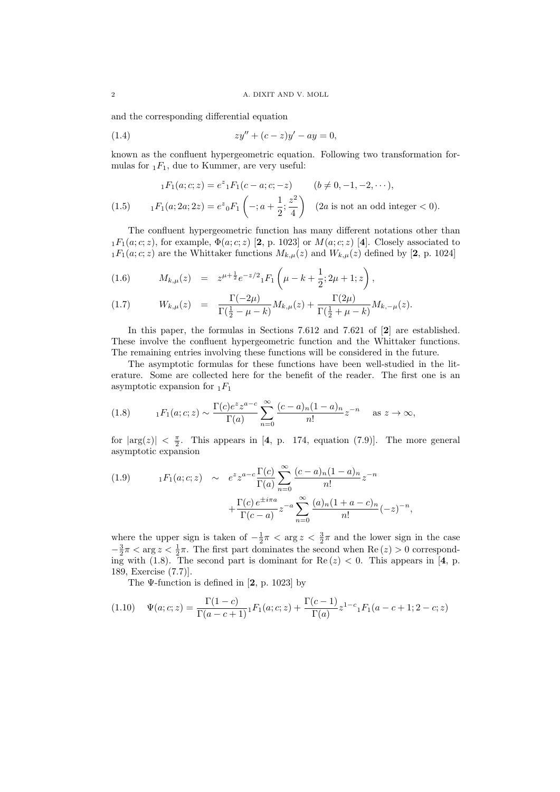and the corresponding differential equation

(1.4) 
$$
zy'' + (c - z)y' - ay = 0,
$$

known as the confluent hypergeometric equation. Following two transformation formulas for  $_1F_1$ , due to Kummer, are very useful:

$$
{}_{1}F_{1}(a;c;z) = e^{z} {}_{1}F_{1}(c-a;c;-z) \qquad (b \neq 0, -1, -2, \cdots),
$$
  
(1.5) 
$$
{}_{1}F_{1}(a;2a;2z) = e^{z} {}_{0}F_{1}\left(-;a+\frac{1}{2};\frac{z^{2}}{4}\right) \quad (2a \text{ is not an odd integer} < 0).
$$

The confluent hypergeometric function has many different notations other than  $_1F_1(a; c; z)$ , for example,  $\Phi(a; c; z)$  [2, p. 1023] or  $M(a; c; z)$  [4]. Closely associated to  $1F_1(a; c; z)$  are the Whittaker functions  $M_{k,\mu}(z)$  and  $W_{k,\mu}(z)$  defined by [2, p. 1024]

(1.6) 
$$
M_{k,\mu}(z) = z^{\mu + \frac{1}{2}} e^{-z/2} {}_1F_1\left(\mu - k + \frac{1}{2}; 2\mu + 1; z\right),
$$

(1.7) 
$$
W_{k,\mu}(z) = \frac{\Gamma(-2\mu)}{\Gamma(\frac{1}{2} - \mu - k)} M_{k,\mu}(z) + \frac{\Gamma(2\mu)}{\Gamma(\frac{1}{2} + \mu - k)} M_{k,-\mu}(z).
$$

In this paper, the formulas in Sections 7.612 and 7.621 of [2] are established. These involve the confluent hypergeometric function and the Whittaker functions. The remaining entries involving these functions will be considered in the future.

The asymptotic formulas for these functions have been well-studied in the literature. Some are collected here for the benefit of the reader. The first one is an asymptotic expansion for  $_1F_1$ 

(1.8) 
$$
{}_{1}F_{1}(a;c;z) \sim \frac{\Gamma(c)e^{z}z^{a-c}}{\Gamma(a)} \sum_{n=0}^{\infty} \frac{(c-a)_{n}(1-a)_{n}}{n!}z^{-n} \text{ as } z \to \infty,
$$

for  $|\arg(z)| < \frac{\pi}{2}$ . This appears in [4, p. 174, equation (7.9)]. The more general asymptotic expansion

(1.9) 
$$
{}_{1}F_{1}(a;c;z) \sim e^{z} z^{a-c} \frac{\Gamma(c)}{\Gamma(a)} \sum_{n=0}^{\infty} \frac{(c-a)_{n}(1-a)_{n}}{n!} z^{-n} + \frac{\Gamma(c) e^{\pm i\pi a}}{\Gamma(c-a)} z^{-a} \sum_{n=0}^{\infty} \frac{(a)_{n}(1+a-c)_{n}}{n!} (-z)^{-n}
$$

where the upper sign is taken of  $-\frac{1}{2}\pi < \arg z < \frac{3}{2}\pi$  and the lower sign in the case  $-\frac{3}{2}\pi < \arg z < \frac{1}{2}\pi$ . The first part dominates the second when Re  $(z) > 0$  corresponding with (1.8). The second part is dominant for  $\text{Re}(z) < 0$ . This appears in [4, p. 189, Exercise (7.7)].

,

The  $\Psi$ -function is defined in [2, p. 1023] by

$$
(1.10) \quad \Psi(a;c;z) = \frac{\Gamma(1-c)}{\Gamma(a-c+1)} {}_1F_1(a;c;z) + \frac{\Gamma(c-1)}{\Gamma(a)} z^{1-c} {}_1F_1(a-c+1;2-c;z)
$$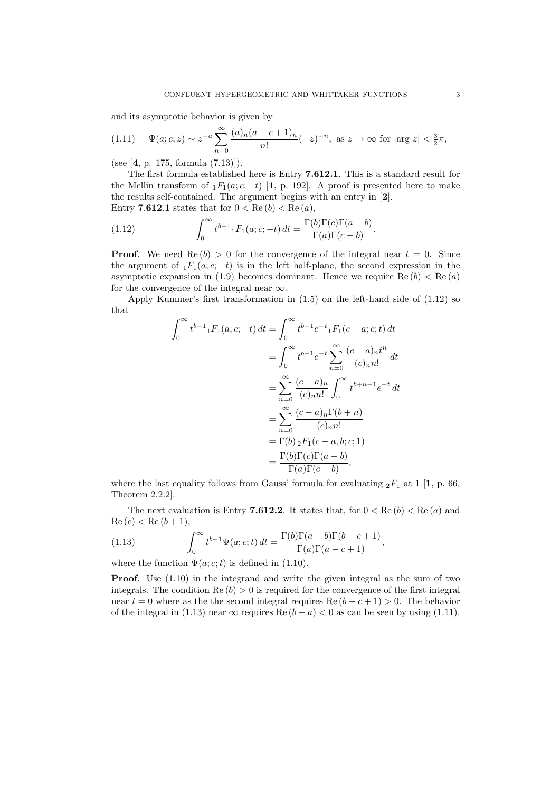and its asymptotic behavior is given by

$$
(1.11) \quad \Psi(a;c;z) \sim z^{-a} \sum_{n=0}^{\infty} \frac{(a)_n (a-c+1)_n}{n!} (-z)^{-n}, \text{ as } z \to \infty \text{ for } |\arg z| < \frac{3}{2}\pi,
$$

(see [4, p. 175, formula (7.13)]).

The first formula established here is Entry 7.612.1. This is a standard result for the Mellin transform of  $_1F_1(a; c; -t)$  [1, p. 192]. A proof is presented here to make the results self-contained. The argument begins with an entry in [2]. Entry 7.612.1 states that for  $0 < \text{Re}(b) < \text{Re}(a)$ ,

(1.12) 
$$
\int_0^\infty t^{b-1} {}_1F_1(a;c;-t) dt = \frac{\Gamma(b)\Gamma(c)\Gamma(a-b)}{\Gamma(a)\Gamma(c-b)}.
$$

**Proof.** We need  $\text{Re}(b) > 0$  for the convergence of the integral near  $t = 0$ . Since the argument of  $_1F_1(a; c; -t)$  is in the left half-plane, the second expression in the asymptotic expansion in (1.9) becomes dominant. Hence we require  $\text{Re}(b) < \text{Re}(a)$ for the convergence of the integral near  $\infty$ .

Apply Kummer's first transformation in (1.5) on the left-hand side of (1.12) so that

$$
\int_0^{\infty} t^{b-1} {}_1F_1(a; c; -t) dt = \int_0^{\infty} t^{b-1} e^{-t} {}_1F_1(c-a; c; t) dt
$$
  
\n
$$
= \int_0^{\infty} t^{b-1} e^{-t} \sum_{n=0}^{\infty} \frac{(c-a)_n t^n}{(c)_n n!} dt
$$
  
\n
$$
= \sum_{n=0}^{\infty} \frac{(c-a)_n}{(c)_n n!} \int_0^{\infty} t^{b+n-1} e^{-t} dt
$$
  
\n
$$
= \sum_{n=0}^{\infty} \frac{(c-a)_n \Gamma(b+n)}{(c)_n n!}
$$
  
\n
$$
= \Gamma(b) {}_2F_1(c-a, b; c; 1)
$$
  
\n
$$
= \frac{\Gamma(b) \Gamma(c) \Gamma(a-b)}{\Gamma(a) \Gamma(c-b)},
$$

where the last equality follows from Gauss' formula for evaluating  ${}_2F_1$  at 1 [1, p. 66, Theorem 2.2.2].

The next evaluation is Entry 7.612.2. It states that, for  $0 < \text{Re}(b) < \text{Re}(a)$  and  $Re(c) < Re(b+1),$ 

(1.13) 
$$
\int_0^\infty t^{b-1} \Psi(a; c; t) dt = \frac{\Gamma(b)\Gamma(a-b)\Gamma(b-c+1)}{\Gamma(a)\Gamma(a-c+1)},
$$

where the function  $\Psi(a; c; t)$  is defined in (1.10).

Proof. Use (1.10) in the integrand and write the given integral as the sum of two integrals. The condition  $\text{Re}(b) > 0$  is required for the convergence of the first integral near  $t = 0$  where as the the second integral requires Re  $(b - c + 1) > 0$ . The behavior of the integral in (1.13) near  $\infty$  requires Re  $(b - a) < 0$  as can be seen by using (1.11).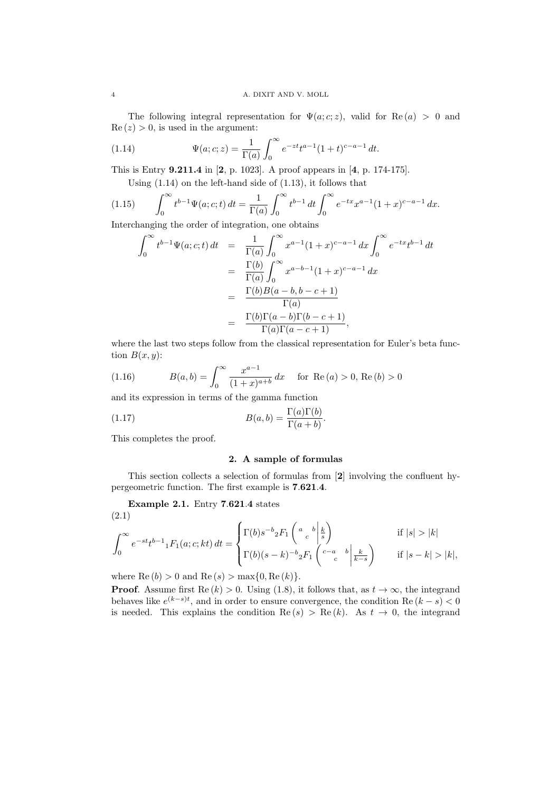The following integral representation for  $\Psi(a; c; z)$ , valid for Re(a) > 0 and  $\text{Re}(z) > 0$ , is used in the argument:

(1.14) 
$$
\Psi(a;c;z) = \frac{1}{\Gamma(a)} \int_0^\infty e^{-zt} t^{a-1} (1+t)^{c-a-1} dt.
$$

This is Entry 9.211.4 in [2, p. 1023]. A proof appears in [4, p. 174-175].

Using  $(1.14)$  on the left-hand side of  $(1.13)$ , it follows that

(1.15) 
$$
\int_0^\infty t^{b-1} \Psi(a; c; t) dt = \frac{1}{\Gamma(a)} \int_0^\infty t^{b-1} dt \int_0^\infty e^{-tx} x^{a-1} (1+x)^{c-a-1} dx.
$$

Interchanging the order of integration, one obtains

$$
\int_0^{\infty} t^{b-1} \Psi(a; c; t) dt = \frac{1}{\Gamma(a)} \int_0^{\infty} x^{a-1} (1+x)^{c-a-1} dx \int_0^{\infty} e^{-tx} t^{b-1} dt
$$
  
\n
$$
= \frac{\Gamma(b)}{\Gamma(a)} \int_0^{\infty} x^{a-b-1} (1+x)^{c-a-1} dx
$$
  
\n
$$
= \frac{\Gamma(b)B(a-b, b-c+1)}{\Gamma(a)}
$$
  
\n
$$
= \frac{\Gamma(b)\Gamma(a-b)\Gamma(b-c+1)}{\Gamma(a)\Gamma(a-c+1)},
$$

where the last two steps follow from the classical representation for Euler's beta function  $B(x, y)$ :

(1.16) 
$$
B(a,b) = \int_0^\infty \frac{x^{a-1}}{(1+x)^{a+b}} dx \quad \text{for } \text{Re}(a) > 0, \text{Re}(b) > 0
$$

and its expression in terms of the gamma function

(1.17) 
$$
B(a,b) = \frac{\Gamma(a)\Gamma(b)}{\Gamma(a+b)}.
$$

This completes the proof.

## 2. A sample of formulas

This section collects a selection of formulas from [2] involving the confluent hypergeometric function. The first example is 7.621.4.

Example 2.1. Entry 7.621.4 states (2.1)

$$
\int_0^\infty e^{-st}t^{b-1} {}_1F_1(a;c;kt) dt = \begin{cases} \Gamma(b)s^{-b} {}_2F_1\left(\begin{array}{c} a & b \ \frac{k}{s} \end{array}\right) & \text{if } |s| > |k| \\ \Gamma(b)(s-k)^{-b} {}_2F_1\left(\begin{array}{c} c-a & b \ c-a \end{array}\middle| \frac{k}{k-s} \right) & \text{if } |s-k| > |k|, \end{cases}
$$

where  $\text{Re}(b) > 0$  and  $\text{Re}(s) > \max\{0, \text{Re}(k)\}.$ 

**Proof.** Assume first  $\text{Re}(k) > 0$ . Using (1.8), it follows that, as  $t \to \infty$ , the integrand behaves like  $e^{(k-s)t}$ , and in order to ensure convergence, the condition Re  $(k-s) < 0$ is needed. This explains the condition  $\text{Re}(s) > \text{Re}(k)$ . As  $t \to 0$ , the integrand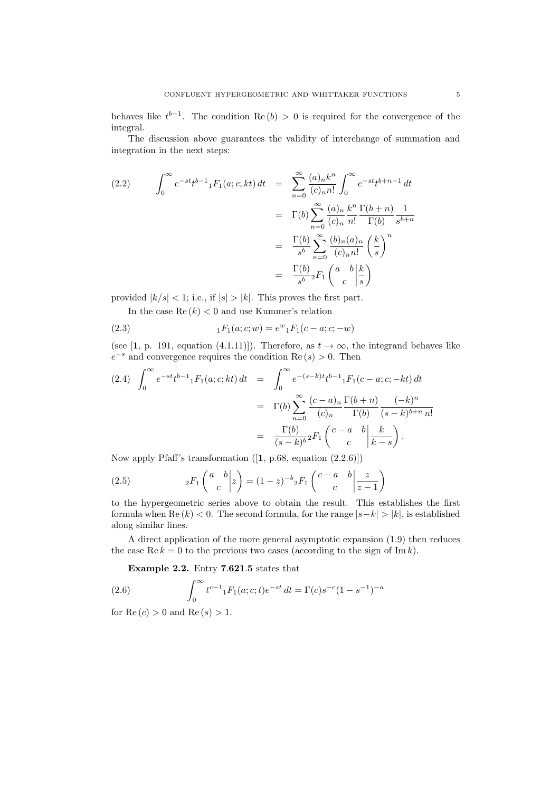behaves like  $t^{b-1}$ . The condition Re  $(b) > 0$  is required for the convergence of the integral.

The discussion above guarantees the validity of interchange of summation and integration in the next steps:

(2.2) 
$$
\int_0^\infty e^{-st}t^{b-1} {}_1F_1(a;c;kt) dt = \sum_{n=0}^\infty \frac{(a)_n k^n}{(c)_n n!} \int_0^\infty e^{-st}t^{b+n-1} dt
$$

$$
= \Gamma(b) \sum_{n=0}^\infty \frac{(a)_n k^n}{(c)_n n!} \frac{\Gamma(b+n)}{\Gamma(b)} \frac{1}{s^{b+n}}
$$

$$
= \frac{\Gamma(b)}{s^b} \sum_{n=0}^\infty \frac{(b)_n (a)_n}{(c)_n n!} \left(\frac{k}{s}\right)^n
$$

$$
= \frac{\Gamma(b)}{s^b} {}_2F_1\left(\begin{array}{c} a & b \\ c \end{array} \bigg|\frac{k}{s}\right)
$$

provided  $|k/s| < 1$ ; i.e., if  $|s| > |k|$ . This proves the first part.

In the case  $\text{Re}(k) < 0$  and use Kummer's relation

(2.3) 
$$
{}_{1}F_{1}(a;c;w) = e^{w} {}_{1}F_{1}(c-a;c;-w)
$$

(see [1, p. 191, equation (4.1.11)]). Therefore, as  $t \to \infty$ , the integrand behaves like  $e^{-s}$  and convergence requires the condition Re  $(s) > 0$ . Then

$$
(2.4) \int_0^{\infty} e^{-st} t^{b-1} {}_1F_1(a;c;kt) dt = \int_0^{\infty} e^{-(s-k)t} t^{b-1} {}_1F_1(c-a;c;-kt) dt
$$

$$
= \Gamma(b) \sum_{n=0}^{\infty} \frac{(c-a)_n}{(c)_n} \frac{\Gamma(b+n)}{\Gamma(b)} \frac{(-k)^n}{(s-k)^{b+n} n!}
$$

$$
= \frac{\Gamma(b)}{(s-k)^b} {}_2F_1\left(\begin{array}{cc} c-a & b \\ c & c \end{array} \Big| \frac{k}{k-s}\right).
$$

Now apply Pfaff's transformation ([1, p.68, equation (2.2.6)])

(2.5) 
$$
{}_2F_1\left(\begin{array}{c|c} a & b \\ c & c \end{array}\bigg|z\right) = (1-z)^{-b}{}_2F_1\left(\begin{array}{cc|c} c-a & b & z \\ c & c & z-1 \end{array}\right)
$$

to the hypergeometric series above to obtain the result. This establishes the first formula when Re  $(k) < 0$ . The second formula, for the range  $|s-k| > |k|$ , is established along similar lines.

A direct application of the more general asymptotic expansion (1.9) then reduces the case Re  $k = 0$  to the previous two cases (according to the sign of Im k).

Example 2.2. Entry 7.621.5 states that

(2.6) 
$$
\int_0^\infty t^{c-1} {}_1F_1(a;c;t)e^{-st}\,dt = \Gamma(c)s^{-c}(1-s^{-1})^{-a}
$$

for  $Re(c) > 0$  and  $Re(s) > 1$ .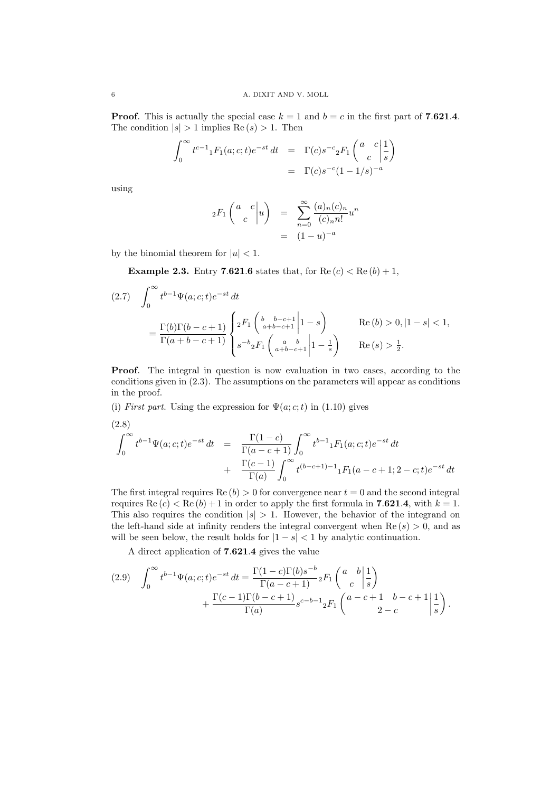**Proof.** This is actually the special case  $k = 1$  and  $b = c$  in the first part of 7.621.4. The condition  $|s| > 1$  implies  $\text{Re}(s) > 1$ . Then

$$
\int_0^\infty t^{c-1} {}_1F_1(a;c;t)e^{-st} dt = \Gamma(c)s^{-c} {}_2F_1\left(\begin{array}{cc} a & c \\ c & s \end{array}\bigg|\frac{1}{s}\right)
$$
  
=  $\Gamma(c)s^{-c}(1-1/s)^{-a}$ 

using

$$
{}_2F_1\left(\begin{array}{cc} a & c \\ c & \end{array}\bigg|u\right) = \sum_{n=0}^{\infty} \frac{(a)_n(c)_n}{(c)_n n!} u^n
$$

$$
= (1-u)^{-a}
$$

by the binomial theorem for  $|u| < 1$ .

**Example 2.3.** Entry 7.621.6 states that, for  $Re(c) < Re(b) + 1$ ,

$$
(2.7) \quad \int_0^\infty t^{b-1} \Psi(a; c; t) e^{-st} dt
$$
  
=  $\frac{\Gamma(b)\Gamma(b-c+1)}{\Gamma(a+b-c+1)} \begin{cases} 2F_1 \begin{pmatrix} b & b-c+1 \\ a+b-c+1 \end{pmatrix} |1-s \end{cases}$  Re  $(b) > 0, |1-s| < 1$ ,  
 $s^{-b} 2F_1 \begin{pmatrix} a & b \\ a+b-c+1 \end{pmatrix} |1-\frac{1}{s} \end{cases}$  Re  $(s) > \frac{1}{2}$ .

Proof. The integral in question is now evaluation in two cases, according to the conditions given in (2.3). The assumptions on the parameters will appear as conditions in the proof.

(i) First part. Using the expression for  $\Psi(a; c; t)$  in (1.10) gives

(2.8)  
\n
$$
\int_0^{\infty} t^{b-1} \Psi(a; c; t) e^{-st} dt = \frac{\Gamma(1-c)}{\Gamma(a-c+1)} \int_0^{\infty} t^{b-1} {}_1F_1(a; c; t) e^{-st} dt
$$
\n
$$
+ \frac{\Gamma(c-1)}{\Gamma(a)} \int_0^{\infty} t^{(b-c+1)-1} {}_1F_1(a-c+1; 2-c; t) e^{-st} dt
$$

The first integral requires  $\text{Re}(b) > 0$  for convergence near  $t = 0$  and the second integral requires Re  $(c) <$  Re  $(b) + 1$  in order to apply the first formula in 7.621.4, with  $k = 1$ . This also requires the condition  $|s| > 1$ . However, the behavior of the integrand on the left-hand side at infinity renders the integral convergent when  $\text{Re}(s) > 0$ , and as will be seen below, the result holds for  $|1 - s| < 1$  by analytic continuation.

A direct application of 7.621.4 gives the value

$$
(2.9) \quad \int_0^\infty t^{b-1} \Psi(a;c;t)e^{-st} dt = \frac{\Gamma(1-c)\Gamma(b)s^{-b}}{\Gamma(a-c+1)}{}_2F_1\left(\begin{array}{c} a & b \\ c & s \end{array}\bigg|\frac{1}{s}\right) + \frac{\Gamma(c-1)\Gamma(b-c+1)}{\Gamma(a)}{}_3e^{-b-1}{}_2F_1\left(\begin{array}{c} a-c+1 & b-c+1 \\ 2-c & s \end{array}\bigg|\frac{1}{s}\right).
$$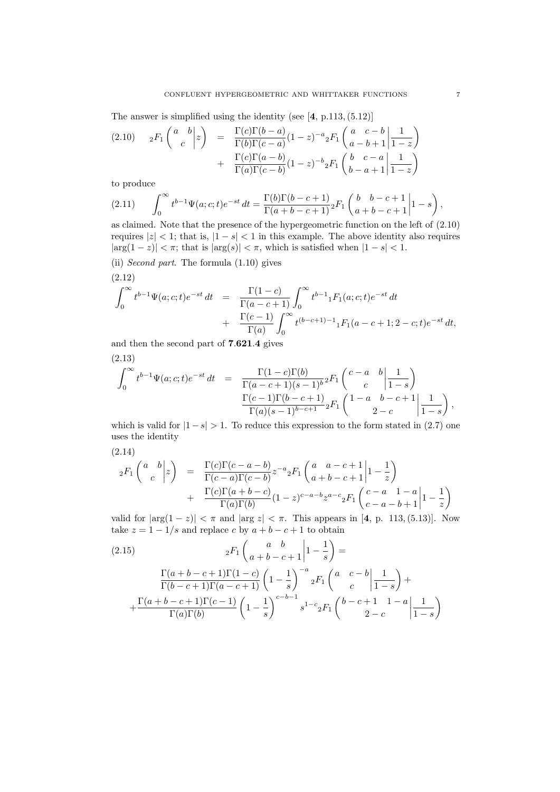The answer is simplified using the identity (see [4, p.113,(5.12)]

$$
(2.10) \quad 2F_1\left(\begin{array}{c} a & b \\ c & \end{array}\bigg|z\right) = \frac{\Gamma(c)\Gamma(b-a)}{\Gamma(b)\Gamma(c-a)}(1-z)^{-a} {}_2F_1\left(\begin{array}{cc} a & c-b & 1 \\ a-b+1 & 1-z \end{array}\right) + \frac{\Gamma(c)\Gamma(a-b)}{\Gamma(a)\Gamma(c-b)}(1-z)^{-b} {}_2F_1\left(\begin{array}{cc} b & c-a & 1 \\ b-a+1 & 1-z \end{array}\right)
$$

to produce

(2.11) 
$$
\int_0^\infty t^{b-1} \Psi(a; c; t) e^{-st} dt = \frac{\Gamma(b)\Gamma(b-c+1)}{\Gamma(a+b-c+1)} {}_2F_1 \left( \begin{array}{cc} b & b-c+1 \ a+b-c+1 \end{array} \bigg| 1 - s \right),
$$

as claimed. Note that the presence of the hypergeometric function on the left of (2.10) requires  $|z| < 1$ ; that is,  $|1 - s| < 1$  in this example. The above identity also requires  $|\arg(1-z)| < \pi$ ; that is  $|\arg(s)| < \pi$ , which is satisfied when  $|1-s| < 1$ .

(ii) Second part. The formula (1.10) gives (2.12)

$$
\int_0^\infty t^{b-1} \Psi(a; c; t) e^{-st} dt = \frac{\Gamma(1-c)}{\Gamma(a-c+1)} \int_0^\infty t^{b-1} {}_1F_1(a; c; t) e^{-st} dt \n+ \frac{\Gamma(c-1)}{\Gamma(a)} \int_0^\infty t^{(b-c+1)-1} {}_1F_1(a-c+1; 2-c; t) e^{-st} dt,
$$

and then the second part of 7.621.4 gives

(2.13)  
\n
$$
\int_0^{\infty} t^{b-1} \Psi(a; c; t) e^{-st} dt = \frac{\Gamma(1-c)\Gamma(b)}{\Gamma(a-c+1)(s-1)^b} {}_2F_1 \left( \begin{array}{cc} c-a & b & 1 \\ c & 1-s \end{array} \right)
$$
\n
$$
\frac{\Gamma(c-1)\Gamma(b-c+1)}{\Gamma(a)(s-1)^{b-c+1}} {}_2F_1 \left( \begin{array}{cc} 1-a & b-c+1 & 1 \\ & 2-c \end{array} \Big| \frac{1}{1-s} \right),
$$

which is valid for  $|1-s| > 1$ . To reduce this expression to the form stated in (2.7) one uses the identity

$$
(2.14)
$$

$$
{}_2F_1\left(\begin{array}{c} a & b \\ c & \end{array}\bigg|z\right) = \frac{\Gamma(c)\Gamma(c-a-b)}{\Gamma(c-a)\Gamma(c-b)}z^{-a}{}_2F_1\left(\begin{array}{c} a & a-c+1 \\ a+b-c+1 \end{array}\bigg|1-\frac{1}{z}\right) + \frac{\Gamma(c)\Gamma(a+b-c)}{\Gamma(a)\Gamma(b)}(1-z)^{c-a-b}z^{a-c}{}_2F_1\left(\begin{array}{c} c-a & 1-a \\ c-a-b+1 \end{array}\bigg|1-\frac{1}{z}\right)
$$

valid for  $|\arg(1-z)| < \pi$  and  $|\arg z| < \pi$ . This appears in [4, p. 113, (5.13)]. Now take  $z = 1 - 1/s$  and replace c by  $a + b - c + 1$  to obtain

(2.15) 
$$
{}_{2}F_{1}\begin{pmatrix} a & b \\ a+b-c+1 \end{pmatrix} \begin{pmatrix} 1 & 1 \\ -\frac{1}{s} \end{pmatrix} = \frac{\Gamma(a+b-c+1)\Gamma(1-c)}{\Gamma(b-c+1)\Gamma(a-c+1)} \left(1-\frac{1}{s}\right)^{-a} {}_{2}F_{1}\begin{pmatrix} a & c-b \\ c & \end{pmatrix} \frac{1}{1-s} + \frac{\Gamma(a+b-c+1)\Gamma(c-1)}{\Gamma(a)\Gamma(b)} \left(1-\frac{1}{s}\right)^{c-b-1} s^{1-c} {}_{2}F_{1}\begin{pmatrix} b-c+1 & 1-a \\ 2-c & \end{pmatrix} \frac{1}{1-s} \right)
$$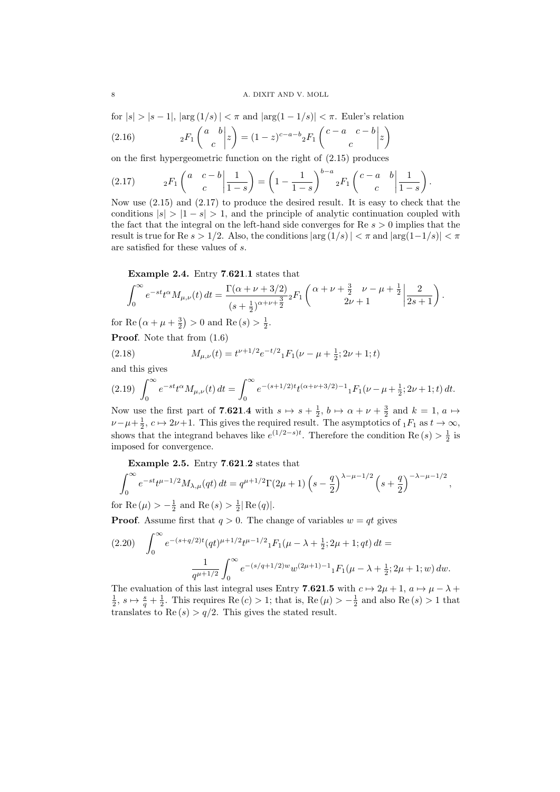for  $|s| > |s-1|$ ,  $|\arg(1/s)| < \pi$  and  $|\arg(1-1/s)| < \pi$ . Euler's relation

(2.16) 
$$
{}_2F_1\left(\begin{array}{c|c} a & b \\ c & c \end{array}\bigg|z\right) = (1-z)^{c-a-b}{}_2F_1\left(\begin{array}{c|c} c-a & c-b & z \end{array}\bigg|z\right)
$$

on the first hypergeometric function on the right of (2.15) produces

$$
(2.17) \t{}_{2}F_{1}\left(\begin{array}{cc} a & c-b \\ c \end{array}\middle| \frac{1}{1-s}\right) = \left(1 - \frac{1}{1-s}\right)^{b-a} {}_{2}F_{1}\left(\begin{array}{cc} c-a & b \\ c \end{array}\middle| \frac{1}{1-s}\right).
$$

Now use (2.15) and (2.17) to produce the desired result. It is easy to check that the conditions  $|s| > 1 - s| > 1$ , and the principle of analytic continuation coupled with the fact that the integral on the left-hand side converges for Re  $s > 0$  implies that the result is true for Re  $s > 1/2$ . Also, the conditions  $|\arg(1/s)| < \pi$  and  $|\arg(1-1/s)| < \pi$ are satisfied for these values of s.

Example 2.4. Entry 7.621.1 states that

$$
\int_0^\infty e^{-st} t^\alpha M_{\mu,\nu}(t) dt = \frac{\Gamma(\alpha+\nu+3/2)}{(s+\frac{1}{2})^{\alpha+\nu+\frac{3}{2}}} {}_2F_1\left(\frac{\alpha+\nu+\frac{3}{2}}{2\nu+1} \frac{\nu-\mu+\frac{1}{2}}{2s+1}\right).
$$

for Re  $(\alpha + \mu + \frac{3}{2}) > 0$  and Re  $(s) > \frac{1}{2}$ .

Proof. Note that from  $(1.6)$ 

(2.18) 
$$
M_{\mu,\nu}(t) = t^{\nu+1/2} e^{-t/2} {}_{1}F_{1}(\nu-\mu+\frac{1}{2};2\nu+1;t)
$$

and this gives

$$
(2.19)\ \int_0^\infty e^{-st} t^\alpha M_{\mu,\nu}(t) \, dt = \int_0^\infty e^{-(s+1/2)t} t^{(\alpha+\nu+3/2)-1} {}_1F_1(\nu-\mu+\tfrac{1}{2};2\nu+1;t) \, dt.
$$

Now use the first part of **7.621.4** with  $s \mapsto s + \frac{1}{2}$ ,  $b \mapsto \alpha + \nu + \frac{3}{2}$  and  $k = 1$ ,  $a \mapsto$  $\nu-\mu+\frac{1}{2}, c \mapsto 2\nu+1$ . This gives the required result. The asymptotics of  $_1F_1$  as  $t \to \infty$ , shows that the integrand behaves like  $e^{(1/2-s)t}$ . Therefore the condition Re  $(s) > \frac{1}{2}$  is imposed for convergence.

Example 2.5. Entry 7.621.2 states that

$$
\int_0^\infty e^{-st} t^{\mu-1/2} M_{\lambda,\mu}(qt) dt = q^{\mu+1/2} \Gamma(2\mu+1) \left(s - \frac{q}{2}\right)^{\lambda-\mu-1/2} \left(s + \frac{q}{2}\right)^{-\lambda-\mu-1/2},
$$

for Re  $(\mu) > -\frac{1}{2}$  and Re  $(s) > \frac{1}{2}|\text{Re}(q)|$ .

**Proof.** Assume first that  $q > 0$ . The change of variables  $w = qt$  gives

$$
(2.20) \quad \int_0^\infty e^{-(s+q/2)t} (qt)^{\mu+1/2} t^{\mu-1/2} {}_1F_1(\mu-\lambda+\frac{1}{2}; 2\mu+1; qt) dt =
$$

$$
\frac{1}{q^{\mu+1/2}} \int_0^\infty e^{-(s/q+1/2)w} w^{(2\mu+1)-1} {}_1F_1(\mu-\lambda+\frac{1}{2}; 2\mu+1; w) dw.
$$

The evaluation of this last integral uses Entry 7.621.5 with  $c \mapsto 2\mu + 1$ ,  $a \mapsto \mu - \lambda +$  $\frac{1}{2}$ ,  $s \mapsto \frac{s}{q} + \frac{1}{2}$ . This requires Re  $(c) > 1$ ; that is, Re  $(\mu) > -\frac{1}{2}$  and also Re  $(s) > 1$  that translates to Re  $(s) > q/2$ . This gives the stated result.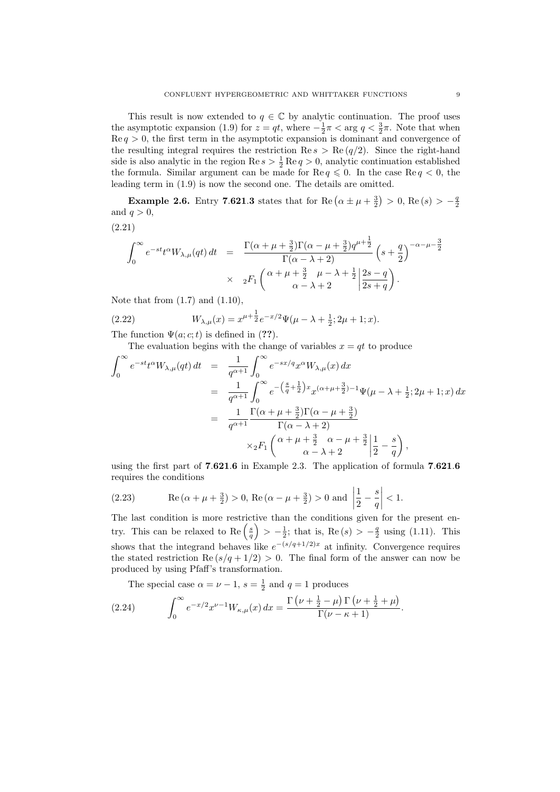This result is now extended to  $q \in \mathbb{C}$  by analytic continuation. The proof uses the asymptotic expansion (1.9) for  $z = qt$ , where  $-\frac{1}{2}\pi < \arg q < \frac{3}{2}\pi$ . Note that when  $\text{Re } q > 0$ , the first term in the asymptotic expansion is dominant and convergence of the resulting integral requires the restriction Re  $s > \text{Re}(q/2)$ . Since the right-hand side is also analytic in the region  $\text{Re } s > \frac{1}{2} \text{Re } q > 0$ , analytic continuation established the formula. Similar argument can be made for Re  $q \leq 0$ . In the case Re  $q < 0$ , the leading term in (1.9) is now the second one. The details are omitted.

**Example 2.6.** Entry 7.621.3 states that for Re  $(\alpha \pm \mu + \frac{3}{2}) > 0$ , Re  $(s) > -\frac{q}{2}$ and  $q > 0$ ,

(2.21)

$$
\int_0^\infty e^{-st} t^{\alpha} W_{\lambda,\mu}(qt) dt = \frac{\Gamma(\alpha + \mu + \frac{3}{2}) \Gamma(\alpha - \mu + \frac{3}{2}) q^{\mu + \frac{1}{2}}}{\Gamma(\alpha - \lambda + 2)} \left(s + \frac{q}{2}\right)^{-\alpha - \mu - \frac{3}{2}}
$$

$$
\times 2F_1 \left(\alpha + \mu + \frac{3}{2} \mu - \lambda + \frac{1}{2} \left|\frac{2s - q}{2s + q}\right.\right).
$$

Note that from  $(1.7)$  and  $(1.10)$ ,

(2.22) 
$$
W_{\lambda,\mu}(x) = x^{\mu+\frac{1}{2}}e^{-x/2}\Psi(\mu-\lambda+\frac{1}{2};2\mu+1;x).
$$

The function  $\Psi(a; c; t)$  is defined in (??).

The evaluation begins with the change of variables  $x = qt$  to produce

$$
\int_0^{\infty} e^{-st} t^{\alpha} W_{\lambda,\mu}(qt) dt = \frac{1}{q^{\alpha+1}} \int_0^{\infty} e^{-sx/q} x^{\alpha} W_{\lambda,\mu}(x) dx
$$
  
\n
$$
= \frac{1}{q^{\alpha+1}} \int_0^{\infty} e^{-\left(\frac{s}{q} + \frac{1}{2}\right)x} x^{(\alpha+\mu+\frac{3}{2})-1} \Psi(\mu-\lambda+\frac{1}{2}; 2\mu+1; x) dx
$$
  
\n
$$
= \frac{1}{q^{\alpha+1}} \frac{\Gamma(\alpha+\mu+\frac{3}{2})\Gamma(\alpha-\mu+\frac{3}{2})}{\Gamma(\alpha-\lambda+2)}
$$
  
\n
$$
\times {}_2F_1 \left( \frac{\alpha+\mu+\frac{3}{2}}{\alpha-\lambda+2} \frac{\alpha-\mu+\frac{3}{2}}{2} \left| \frac{1}{2} - \frac{s}{q} \right. \right),
$$

using the first part of 7.621.6 in Example 2.3. The application of formula 7.621.6 requires the conditions

(2.23) Re 
$$
(\alpha + \mu + \frac{3}{2}) > 0
$$
, Re  $(\alpha - \mu + \frac{3}{2}) > 0$  and  $\left| \frac{1}{2} - \frac{s}{q} \right| < 1$ .

The last condition is more restrictive than the conditions given for the present entry. This can be relaxed to Re  $\left(\frac{s}{q}\right) > -\frac{1}{2}$ ; that is, Re  $(s) > -\frac{q}{2}$  using (1.11). This shows that the integrand behaves like  $e^{-(s/q+1/2)x}$  at infinity. Convergence requires the stated restriction  $\text{Re}(s/q + 1/2) > 0$ . The final form of the answer can now be produced by using Pfaff's transformation.

The special case  $\alpha = \nu - 1$ ,  $s = \frac{1}{2}$  and  $q = 1$  produces

(2.24) 
$$
\int_0^\infty e^{-x/2} x^{\nu-1} W_{\kappa,\mu}(x) dx = \frac{\Gamma(\nu + \frac{1}{2} - \mu) \Gamma(\nu + \frac{1}{2} + \mu)}{\Gamma(\nu - \kappa + 1)}.
$$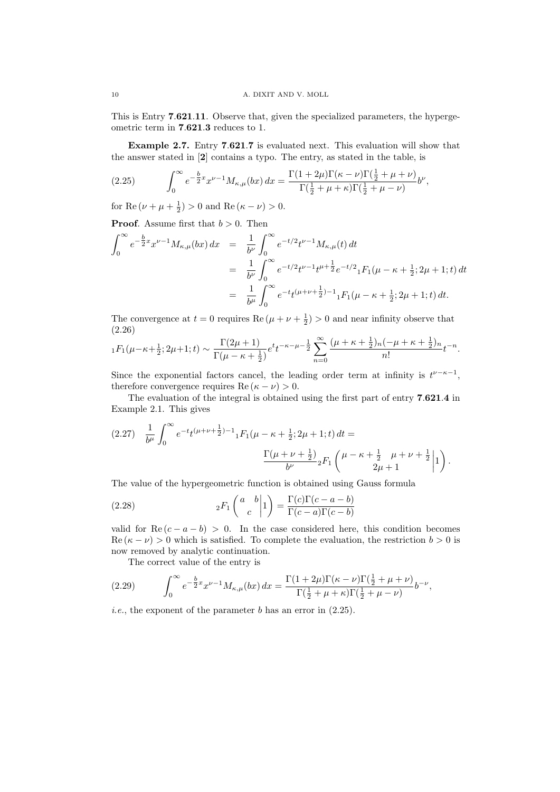This is Entry 7.621.11. Observe that, given the specialized parameters, the hypergeometric term in 7.621.3 reduces to 1.

Example 2.7. Entry 7.621.7 is evaluated next. This evaluation will show that the answer stated in [2] contains a typo. The entry, as stated in the table, is

(2.25) 
$$
\int_0^\infty e^{-\frac{b}{2}x} x^{\nu-1} M_{\kappa,\mu}(bx) dx = \frac{\Gamma(1+2\mu)\Gamma(\kappa-\nu)\Gamma(\frac{1}{2}+\mu+\nu)}{\Gamma(\frac{1}{2}+\mu+\kappa)\Gamma(\frac{1}{2}+\mu-\nu)} b^{\nu},
$$

for Re  $(\nu + \mu + \frac{1}{2}) > 0$  and Re  $(\kappa - \nu) > 0$ .

**Proof.** Assume first that  $b > 0$ . Then

$$
\int_0^\infty e^{-\frac{b}{2}x} x^{\nu-1} M_{\kappa,\mu}(bx) dx = \frac{1}{b^{\nu}} \int_0^\infty e^{-t/2} t^{\nu-1} M_{\kappa,\mu}(t) dt
$$
  
\n
$$
= \frac{1}{b^{\nu}} \int_0^\infty e^{-t/2} t^{\nu-1} t^{\mu+\frac{1}{2}} e^{-t/2} {}_1F_1(\mu-\kappa+\frac{1}{2};2\mu+1;t) dt
$$
  
\n
$$
= \frac{1}{b^{\mu}} \int_0^\infty e^{-t} t^{(\mu+\nu+\frac{1}{2})-1} {}_1F_1(\mu-\kappa+\frac{1}{2};2\mu+1;t) dt.
$$

The convergence at  $t = 0$  requires  $\text{Re}(\mu + \nu + \frac{1}{2}) > 0$  and near infinity observe that (2.26)

$$
{}_1F_1(\mu-\kappa+\frac{1}{2};2\mu+1;t) \sim \frac{\Gamma(2\mu+1)}{\Gamma(\mu-\kappa+\frac{1}{2})}e^{t}t^{-\kappa-\mu-\frac{1}{2}}\sum_{n=0}^{\infty}\frac{(\mu+\kappa+\frac{1}{2})_n(-\mu+\kappa+\frac{1}{2})_n}{n!}t^{-n}.
$$

Since the exponential factors cancel, the leading order term at infinity is  $t^{\nu-\kappa-1}$ , therefore convergence requires  $\text{Re}(\kappa - \nu) > 0$ .

The evaluation of the integral is obtained using the first part of entry 7.621.4 in Example 2.1. This gives

$$
(2.27) \frac{1}{b^{\mu}} \int_0^{\infty} e^{-t} t^{(\mu+\nu+\frac{1}{2})-1} {}_1F_1(\mu-\kappa+\frac{1}{2};2\mu+1;t) dt =
$$

$$
\frac{\Gamma(\mu+\nu+\frac{1}{2})}{b^{\nu}} {}_2F_1\left(\mu-\kappa+\frac{1}{2}\begin{array}{c}\mu+\nu+\frac{1}{2}\\2\mu+1\end{array}\Big|1\right).
$$

The value of the hypergeometric function is obtained using Gauss formula

(2.28) 
$$
{}_2F_1\left(\begin{array}{c} a & b \\ c \end{array}\bigg|1\right) = \frac{\Gamma(c)\Gamma(c-a-b)}{\Gamma(c-a)\Gamma(c-b)}
$$

valid for  $\text{Re}(c - a - b) > 0$ . In the case considered here, this condition becomes Re  $(\kappa - \nu) > 0$  which is satisfied. To complete the evaluation, the restriction  $b > 0$  is now removed by analytic continuation.

The correct value of the entry is

(2.29) 
$$
\int_0^\infty e^{-\frac{b}{2}x} x^{\nu-1} M_{\kappa,\mu}(bx) dx = \frac{\Gamma(1+2\mu)\Gamma(\kappa-\nu)\Gamma(\frac{1}{2}+\mu+\nu)}{\Gamma(\frac{1}{2}+\mu+\kappa)\Gamma(\frac{1}{2}+\mu-\nu)} b^{-\nu},
$$

*i.e.*, the exponent of the parameter  $b$  has an error in  $(2.25)$ .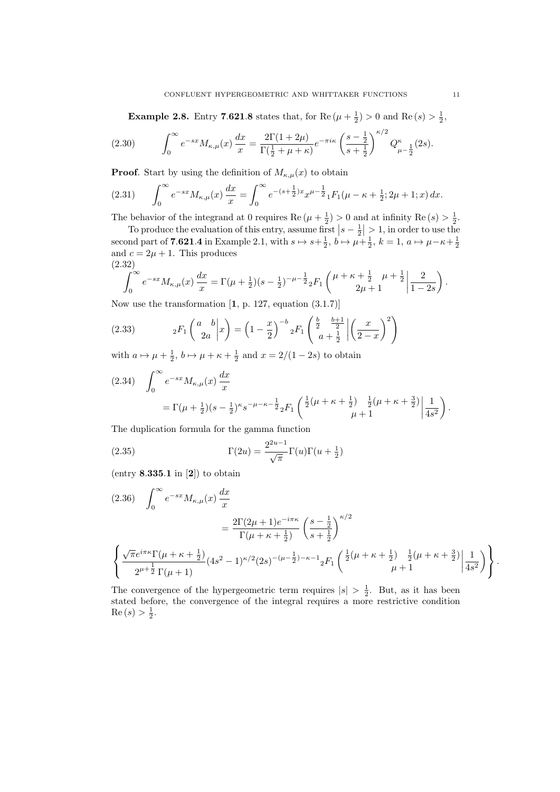**Example 2.8.** Entry 7.621.8 states that, for  $\text{Re}(\mu + \frac{1}{2}) > 0$  and  $\text{Re}(s) > \frac{1}{2}$ ,

$$
(2.30) \qquad \int_0^\infty e^{-sx} M_{\kappa,\mu}(x) \, \frac{dx}{x} = \frac{2\Gamma(1+2\mu)}{\Gamma(\frac{1}{2}+\mu+\kappa)} e^{-\pi i\kappa} \left(\frac{s-\frac{1}{2}}{s+\frac{1}{2}}\right)^{\kappa/2} Q_{\mu-\frac{1}{2}}^\kappa(2s).
$$

**Proof.** Start by using the definition of  $M_{\kappa,\mu}(x)$  to obtain

$$
(2.31) \qquad \int_0^\infty e^{-sx} M_{\kappa,\mu}(x) \, \frac{dx}{x} = \int_0^\infty e^{-(s+\frac{1}{2})x} x^{\mu-\frac{1}{2}} {}_1F_1(\mu-\kappa+\frac{1}{2};2\mu+1;x) \, dx.
$$

The behavior of the integrand at 0 requires Re  $(\mu + \frac{1}{2}) > 0$  and at infinity Re  $(s) > \frac{1}{2}$ .

To produce the evaluation of this entry, assume first  $|s-\frac{1}{2}|>1$ , in order to use the second part of **7.621.4** in Example 2.1, with  $s \mapsto s + \frac{1}{2}$ ,  $b \mapsto \mu + \frac{1}{2}$ ,  $k = 1$ ,  $a \mapsto \mu - \kappa + \frac{1}{2}$ and  $c = 2\mu + 1$ . This produces (2.32)

$$
\int_0^\infty e^{-sx} M_{\kappa,\mu}(x) \frac{dx}{x} = \Gamma(\mu + \frac{1}{2})(s - \frac{1}{2})^{-\mu - \frac{1}{2}} {}_2F_1\left(\frac{\mu + \kappa + \frac{1}{2}}{2\mu + 1} + \frac{1}{2}\left|\frac{2}{1 - 2s}\right.\right).
$$

Now use the transformation  $[1, p. 127,$  equation  $(3.1.7)]$ 

(2.33) 
$$
{}_2F_1\left(\frac{a}{2a}b\middle|x\right) = \left(1-\frac{x}{2}\right)^{-b}{}_2F_1\left(\frac{\frac{b}{2}}{a}+\frac{\frac{b+1}{2}}{\frac{b}{2}}\middle|\left(\frac{x}{2-x}\right)^2\right)
$$

with  $a \mapsto \mu + \frac{1}{2}$ ,  $b \mapsto \mu + \kappa + \frac{1}{2}$  and  $x = 2/(1 - 2s)$  to obtain

$$
(2.34) \quad \int_0^\infty e^{-sx} M_{\kappa,\mu}(x) \frac{dx}{x}
$$
  
=  $\Gamma(\mu + \frac{1}{2})(s - \frac{1}{2})^{\kappa} s^{-\mu - \kappa - \frac{1}{2}} {}_2F_1 \left( \frac{\frac{1}{2}(\mu + \kappa + \frac{1}{2})}{\mu + 1} - \frac{\frac{1}{2}(\mu + \kappa + \frac{3}{2})}{\mu + 1} \middle| \frac{1}{4s^2} \right).$ 

The duplication formula for the gamma function

(2.35) 
$$
\Gamma(2u) = \frac{2^{2u-1}}{\sqrt{\pi}} \Gamma(u) \Gamma(u + \frac{1}{2})
$$

(entry  $8.335.1$  in [2]) to obtain

$$
(2.36) \quad \int_0^\infty e^{-sx} M_{\kappa,\mu}(x) \frac{dx}{x}
$$
  

$$
= \frac{2\Gamma(2\mu+1)e^{-i\pi\kappa}}{\Gamma(\mu+\kappa+\frac{1}{2})} \left(\frac{s-\frac{1}{2}}{s+\frac{1}{2}}\right)^{\kappa/2}
$$
  

$$
\left\{\frac{\sqrt{\pi}e^{i\pi\kappa}\Gamma(\mu+\kappa+\frac{1}{2})}{2^{\mu+\frac{1}{2}}\Gamma(\mu+1)}(4s^2-1)^{\kappa/2}(2s)^{-(\mu-\frac{1}{2})-\kappa-1}{}_{2}F_1\left(\frac{\frac{1}{2}(\mu+\kappa+\frac{1}{2})}{\mu+1},\frac{\frac{1}{2}(\mu+\kappa+\frac{3}{2})}{\mu+1}\middle|\frac{1}{4s^2}\right)\right\}
$$

The convergence of the hypergeometric term requires  $|s| > \frac{1}{2}$ . But, as it has been stated before, the convergence of the integral requires a more restrictive condition  $Re(s) > \frac{1}{2}.$ 

.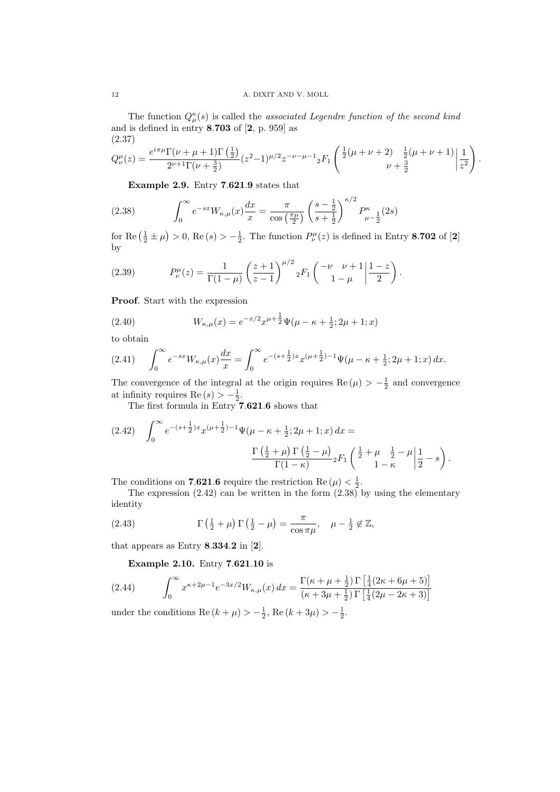The function  $Q_{\mu}^{\kappa}(s)$  is called the *associated Legendre function of the second kind* and is defined in entry 8.703 of [2, p. 959] as (2.37)

$$
Q^{\mu}_{\nu}(z) = \frac{e^{i\pi\mu}\Gamma(\nu+\mu+1)\Gamma(\frac{1}{2})}{2^{\nu+1}\Gamma(\nu+\frac{3}{2})}(z^2-1)^{\mu/2}z^{-\nu-\mu-1}{}_{2}F_{1}\left(\frac{\frac{1}{2}(\mu+\nu+2)-\frac{1}{2}(\mu+\nu+1)}{\nu+\frac{3}{2}}\bigg|\frac{1}{z^2}\right).
$$

Example 2.9. Entry 7.621.9 states that

(2.38) 
$$
\int_0^\infty e^{-sx} W_{\kappa,\mu}(x) \frac{dx}{x} = \frac{\pi}{\cos\left(\frac{\pi\mu}{2}\right)} \left(\frac{s-\frac{1}{2}}{s+\frac{1}{2}}\right)^{\kappa/2} P_{\mu-\frac{1}{2}}^{\kappa}(2s)
$$

for Re  $(\frac{1}{2} \pm \mu) > 0$ , Re  $(s) > -\frac{1}{2}$ . The function  $P_{\nu}^{\mu}(z)$  is defined in Entry 8.702 of [2] by

(2.39) 
$$
P_{\nu}^{\mu}(z) = \frac{1}{\Gamma(1-\mu)} \left(\frac{z+1}{z-1}\right)^{\mu/2} {}_{2}F_{1}\left(\begin{array}{cc} -\nu & \nu+1 \ 1-\mu \end{array}\bigg|\frac{1-z}{2}\right).
$$

Proof. Start with the expression

(2.40) 
$$
W_{\kappa,\mu}(x) = e^{-x/2} x^{\mu+\frac{1}{2}} \Psi(\mu-\kappa+\frac{1}{2};2\mu+1;x)
$$

to obtain

$$
(2.41) \qquad \int_0^\infty e^{-sx} W_{\kappa,\mu}(x) \frac{dx}{x} = \int_0^\infty e^{-(s+\frac{1}{2})x} x^{(\mu+\frac{1}{2})-1} \Psi(\mu-\kappa+\frac{1}{2};2\mu+1;x) \, dx.
$$

The convergence of the integral at the origin requires  $\text{Re}(\mu) > -\frac{1}{2}$  and convergence at infinity requires  $\text{Re}(s) > -\frac{1}{2}$ .

The first formula in Entry 7.621.6 shows that

$$
(2.42) \quad \int_0^\infty e^{-(s+\frac{1}{2})x} x^{(\mu+\frac{1}{2})-1} \Psi(\mu-\kappa+\frac{1}{2};2\mu+1;x) \, dx =
$$

$$
\frac{\Gamma(\frac{1}{2}+\mu)\Gamma(\frac{1}{2}-\mu)}{\Gamma(1-\kappa)} {}_2F_1\left(\frac{\frac{1}{2}+\mu-\frac{1}{2}-\mu}{1-\kappa}\bigg|\frac{1}{2}-s\right).
$$

The conditions on **7.621.6** require the restriction  $\text{Re}(\mu) < \frac{1}{2}$ .

The expression (2.42) can be written in the form (2.38) by using the elementary identity

(2.43) 
$$
\Gamma\left(\frac{1}{2}+\mu\right)\Gamma\left(\frac{1}{2}-\mu\right)=\frac{\pi}{\cos\pi\mu}, \quad \mu-\frac{1}{2}\notin\mathbb{Z},
$$

that appears as Entry  $8.334.2$  in  $[2]$ .

Example 2.10. Entry 7.621.10 is

$$
(2.44) \qquad \int_0^\infty x^{\kappa+2\mu-1} e^{-3x/2} W_{\kappa,\mu}(x) \, dx = \frac{\Gamma(\kappa+\mu+\frac{1}{2}) \Gamma\left[\frac{1}{4}(2\kappa+6\mu+5)\right]}{(\kappa+3\mu+\frac{1}{2}) \Gamma\left[\frac{1}{4}(2\mu-2\kappa+3)\right]}
$$

under the conditions  $\text{Re}(k + \mu) > -\frac{1}{2}$ ,  $\text{Re}(k + 3\mu) > -\frac{1}{2}$ .